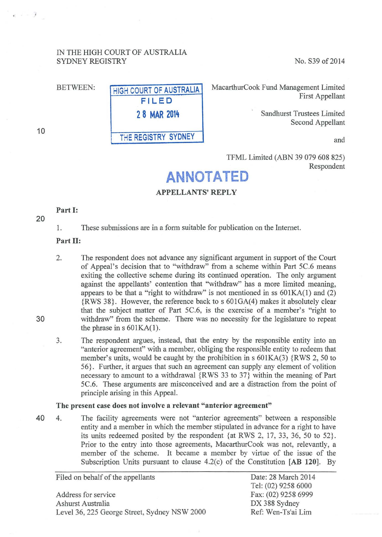# IN THE HIGH COURT OF AUSTRALIA SYDNEY REGISTRY No. S39 of 2014

BETWEEN: **HIGH COURT OF AUSTRALIA FILED 2 8 MAR 2014**  THE REGISTRY SYDNEY

MacarthurCook Fund Management Limited First Appellant

> Sandhurst Trustees Limited Second Appellant

> > and

TFML Limited (ABN 39 079 608 825) Respondent

# **ANNOTATED**

#### APPELLANTS' REPLY

# Part **1:**

1. These submissions are in a form suitable for publication on the Internet.

#### Part II:

- 2. The respondent does not advance any significant argument in support of the Court of Appeal's decision that to "withdraw" from a scheme within Part 5C.6 means exiting the collective scheme during its continued operation. The only argument against the appellants' contention that "withdraw" has a more limited meaning, appears to be that a "right to withdraw" is not mentioned in ss 601KA(l) and (2) {RWS 38}. However, the reference back to s 601GA(4) makes it absolutely clear that the subject matter of Part 5C.6, is the exercise of a member's "right to withdraw" from the scheme. There was no necessity for the legislature to repeat the phrase in  $s$  601KA(1).
- 3. The respondent argues, instead, that the entry by the responsible entity into an "anterior agreement" with a member, obliging the responsible entity to redeem that member's units, would be caught by the prohibition in  $s$  601KA(3) {RWS 2, 50 to 56}. Further, it argues that such an agreement can supply any element of volition necessary to amount to a withdrawal {RWS 33 to 37} within the meaning of Part 5C.6. These arguments are misconceived and are a distraction from the point of principle arising in this Appeal.

#### The present case does not involve a relevant "anterior agreement"

40 4. The facility agreements were not "anterior agreements" between a responsible entity and a member in which the member stipulated in advance for a right to have its units redeemed posited by the respondent {at RWS 2, 17, 33, 36, 50 to 52}. Prior to the entry into those agreements, MacarthurCook was not, relevantly, a member of the scheme. It became a member by virtue of the issue of the Subscription Units pursuant to clause 4.2(c) of the Constitution [AB 120]. By

Filed on behalf of the appellants

Address for service Ashurst Australia Level 36, 225 George Street, Sydney NSW 2000 Date: 28 March 2014 Tel: (02) 9258 6000 Fax: (02) 9258 6999 DX 388 Sydney Ref: Wen-Ts'ai Lim

30

10

 $e^{-}$   $\rightarrow$   $\rightarrow$   $\rightarrow$ 

20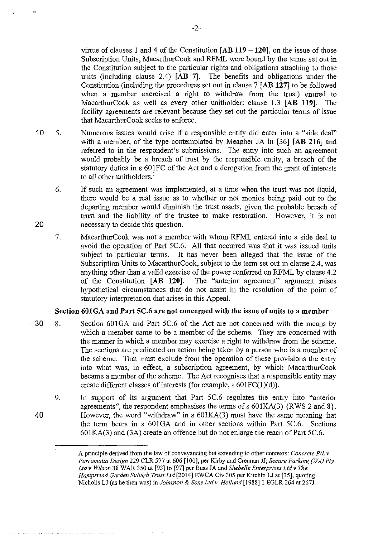virtue of clauses I and 4 of the Constitution **[AB 119 -120],** on the issue of those Subscription Units, MacarthurCook and RFML were bound by the terms set out in the Constitution subject to the particular rights and obligations attaching to those units (including clause 2.4) **[AB** 7]. The benefits and obligations under the Constitution (including the procedures set out in clause 7 **[AB 127]** to be followed when a member exercised a right to withdraw from the trust) enured to MacarthurCook as well as every other unitholder: clause 1.3 **[AB 119].** The facility agreements are relevant because they set out the particular terms of issue that MacarthurCook seeks to enforce.

- 10 5. Numerous issues would arise if a responsible entity did enter into a "side deal" with a member, of the type contemplated by Meagher JA in [36] **[AB 216]** and referred to in the respondent's submissions. The entry into such an agreement would probably be a breach of trust by the responsible entity, a breach of the statutory duties in s 601FC of the Act and a derogation from the grant of interests to all other unitholders.<sup>1</sup>
	- 6. If such an agreement was implemented, at a time when the trust was not liquid, there would be a real issue as to whether or not monies being paid out to the departing member would diminish the trust assets, given the probable breach of trust and the liability of the trustee to make restoration. However, it is not necessary to decide this question.

. 20

 $\zeta_2^2$ 

7. MacarthurCook was not a member with whom RFML entered into a side deal to avoid the operation of Part 5C.6. All that occurred was that it was issued units subject to particular terms. It has never been alleged that the issue of the Subscription Units to MacarthurCook, subject to the term set out in clause 2.4, was anything other than a valid exercise of the power conferred on RFML by clause 4.2 of the Constitution **[AB 120].** The "anterior agreement" argument raises hypothetical circumstances that do not assist in the resolution of the point of statutory interpretation that arises in this Appeal.

#### **Section 601GA and Part SC.6 are not concerned with the issue of units to a member**

- 30 8. Section 601GA and Part 5C.6 of the Act are not concerned with the means by which a member came to be a member of the scheme. They are concerned with the manner in which a member may exercise a right to withdraw from the scheme. The sections are predicated on action being taken by a person who is a member of the scheme. That must exclude from the operation of these provisions the entry into what was, in effect, a subscription agreement, by which MacarthurCook became a member of the scheme. The Act recognises that a responsible entity may create different classes of interests (for example, s 601FC(I)(d)).
- 9. 40 In support of its argument that Part 5C.6 regulates the entry into "anterior agreements", the respondent emphasises the terms of s  $601KA(3)$  {RWS 2 and 8}. However, the word "withdraw" in  $s$  601KA(3) must have the same meaning that the term bears in s 601GA and in other sections within Part 5C.6. Sections 601KA(3) and (3A) create an offence but do not enlarge the reach of Part 5C.6.

-2-

 $\mathbf{1}$ A principle derived from the law of conveyancing but extending to other contexts: *Concrete P/Lv Pan·amatta Design* 229 CLR 577 at 606 [100], per Kirby and Crennan JJ; *Secure Parking (WA) Pty Ltdv Wilson* 38 WAR 350 at [93] to [97] per Buss JA and *She belle Enterprises Ltd v The Hampstead Garden Suburb Trust Ltd[2014]* EWCA Civ 305 per Kitchin LJ at [35], quoting Nicholls LJ (as he then was) in *Johnston* & *Sons Ltdv Holland* [1988]1 EGLR 264 at 267J.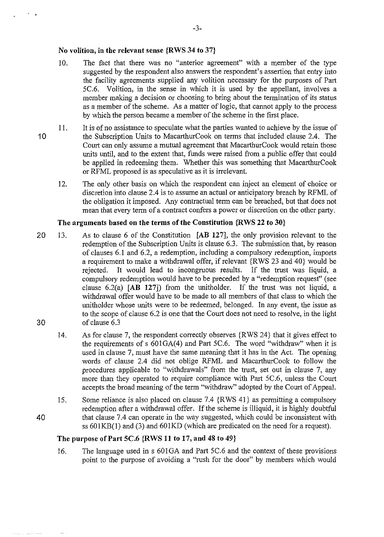#### No volition, in the relevant sense {RWS 34 to 37}

- 10. The fact that there was no "anterior agreement" with a member of the type suggested by the respondent also answers the respondent's assertion that entry into the facility agreements supplied any volition necessary for the purposes of Part 5C.6. Volition, in the sense in which it is used by the appellant, involves a Volition, in the sense in which it is used by the appellant, involves a member making a decision or choosing to bring about the termination of its status as a member of the scheme. As a matter of logic, that cannot apply to the process by which the person became a member of the scheme in the first place.
- II. It is of no assistance to speculate what the parties wanted to achieve by the issue of 10 the Subscription Units to MacarthurCook on terms that included clause 2.4. The Court can only assume a mutual agreement that MacarthurCook would retain those units until, and to the extent that, funds were raised from a public offer that could be applied in redeeming them. Whether this was something that MacarthurCook or RFML proposed is as speculative as it is irrelevant.
	- 12. The only other basis on which the respondent can inject an element of choice or discretion into clause 2.4 is to assume an actual or anticipatory breach by RFML of the obligation it imposed. Any contractual term can be breached, but that does not mean that every term of a contract confers a power or discretion on the other party.

# The arguments based on the terms of the Constitution {RWS 22 to 30}

- 20 30 13. As to clause 6 of the Constitution [AB 127], the only provision relevant to the redemption of the Subscription Units is clause 6.3. The submission that, by reason of clauses 6.1 and 6.2, a redemption, including a compulsory redemption, imports a requirement to make a withdrawal offer, if relevant {RWS 23 and 40} would be rejected. It would lead to incongruous results. If the trust was liquid, a compulsory redemption would have to be preceded by a "redemption request" (see clause 6.2(a) [AB 127]) from the unitholder. If the trust was not liquid, a withdrawal offer would have to be made to all members of that class to which the unitholder whose units were to be redeemed, belonged. In any event, the issue as to the scope of clause 6.2 is one that the Court does not need to resolve, in the light of clause 6.3
	- 14. As for clause 7, the respondent correctly observes {R WS 24} that it gives effect to the requirements of s 601GA(4) and Part 5C.6. The word "withdraw" when it is used in clause 7, must have the same meaning that it has in the Act. The opening words of clause 2.4 did not oblige RFML and MacarthurCook to follow the procedures applicable to "withdrawals" from the trust, set out in clause 7, any more than they operated to require compliance with Part 5C.6, unless the Court accepts the broad meaning of the term "withdraw" adopted by the Court of Appeal.
- 15. Some reliance is also placed on clause 7.4 {RWS 41} as permitting a compulsory redemption after a withdrawal offer. If the scheme is illiquid, it is highly doubtful 40 that clause 7.4 can operate in the way suggested, which could be inconsistent with ss 601KB(l) and (3) and 601KD (which are predicated on the need for a request).

#### The purpose of Part 5C.6 {RWS 11 to 17, and 48 to 49}

16. The language used in s 601GA and Part 5C.6 and the context of these provisions point to the purpose of avoiding a "rush for the door" by members which would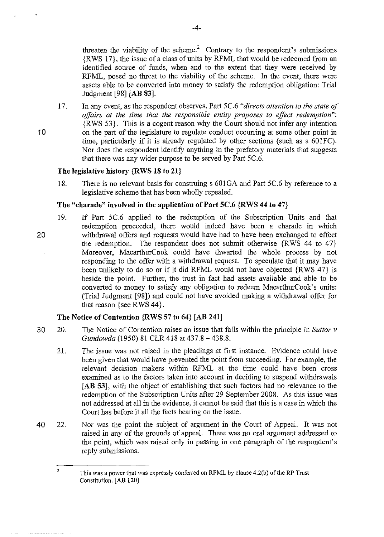threaten the viability of the scheme.<sup>2</sup> Contrary to the respondent's submissions {RWS 17}, the issue of a class of units by RFML that would be redeemed from an identified source of funds, when and to the extent that they were received by RFML, posed no threat to the viability of the scheme. In the event, there were assets able to be converted into money to satisfy the redemption obligation: Trial Judgment [98] **[AB** 83].

I 7. In any event, as the respondent observes, Part 5C.6 *"directs attention to the state of affairs at the time that the responsible entity proposes to effect redemption":*  {RWS 53}. This is a cogent reason why the Court should not infer any intention 10 on the part of the legislature to regulate conduct occurring at some other point in time, particularly if it is already regulated by other sections (such as s 601FC). Nor does the respondent identify anything in the prefatory materials that suggests that there was any wider purpose to be served by Part 5C.6.

# **The legislative history {RWS 18 to 21}**

18. There is no relevant basis for construing s 601 GA and Part 5C.6 by reference to a legislative scheme that has been wholly repealed.

#### **The "charade" involved in the application of Part 5C.6 {RWS 44 to 47}**

19. If Part 5C.6 applied to the redemption of the Subscription Units and that redemption proceeded, there would indeed have been a charade in which 20 withdrawal offers and requests would have had to have been exchanged to effect the redemption. The respondent does not submit otherwise  $\{RWS, 44, t0, 47\}$ Moreover, MacarthurCook could have thwarted the whole process by not responding to the offer with a withdrawal request. To speculate that it may have been unlikely to do so or if it did RFML would not have objected {RWS 47} is beside the point. Further, the trust in fact had assets available and able to be converted to money to satisfy any obligation to redeem MacarthurCook's units: (Trial Judgment [98]) and could not have avoided making a withdrawal offer for that reason {see R WS 44}.

#### **The Notice of Contention {RWS 57 to 64} [AB 241]**

- 30 20. The Notice of Contention raises an issue that falls within the principle in *Suttor v Gundowda* (1950) 81 CLR 418 at 437.8-438.8.
	- 21. The issue was not raised in the pleadings at first instance. Evidence could have been given that would have prevented the point from succeeding. For example, the relevant decision makers within RFML at the time could have been cross examined as to the factors taken into account in deciding to suspend withdrawals **[AB** 53], with the object of establishing that such factors had no relevance to the redemption of the Subscription Units after 29 September 2008. As this issue was not addressed at all in the evidence, it cannot be said that this is a case in which the Court has before it all the facts bearing on the issue.
- 40 22. Nor was the point the subject of argument in the Court of Appeal. It was not raised in any of the grounds of appeal. There was no oral argument addressed to the point, which was raised only in passing in one paragraph of the respondent's reply submissions.

<sup>2</sup>  This was a power that was expressly conferred on RFML by clause 4.2(b) of the RP Trust Constitution. [ AB **120]**